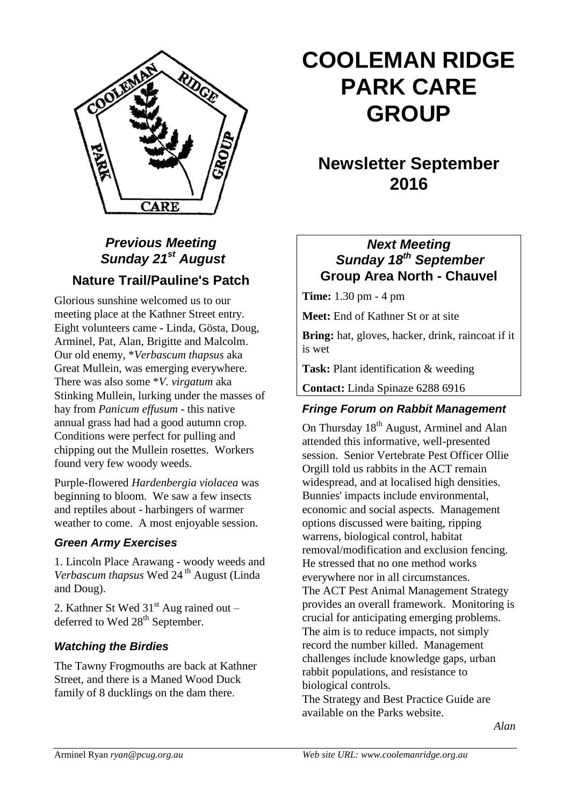

## *Previous Meeting Sunday 21st August* **Nature Trail/Pauline's Patch**

Glorious sunshine welcomed us to our meeting place at the Kathner Street entry. Eight volunteers came - Linda, Gösta, Doug, Arminel, Pat, Alan, Brigitte and Malcolm. Our old enemy, \**Verbascum thapsus* aka Great Mullein, was emerging everywhere. There was also some \**V. virgatum* aka Stinking Mullein, lurking under the masses of hay from *Panicum effusum -* this native annual grass had had a good autumn crop*.*  Conditions were perfect for pulling and chipping out the Mullein rosettes. Workers found very few woody weeds.

Purple-flowered *Hardenbergia violacea* was beginning to bloom. We saw a few insects and reptiles about - harbingers of warmer weather to come. A most enjoyable session.

#### *Green Army Exercises*

1. Lincoln Place Arawang - woody weeds and *Verbascum thapsus* Wed 24 th August (Linda and Doug).

2. Kathner St Wed 31<sup>st</sup> Aug rained out deferred to Wed 28<sup>th</sup> September.

#### *Watching the Birdies*

The Tawny Frogmouths are back at Kathner Street, and there is a Maned Wood Duck family of 8 ducklings on the dam there.

# **COOLEMAN RIDGE PARK CARE GROUP**

# **Newsletter September 2016**

#### *Next Meeting Sunday 18th September* **Group Area North - Chauvel**

**Time:** 1.30 pm - 4 pm

**Meet:** End of Kathner St or at site

**Bring:** hat, gloves, hacker, drink, raincoat if it is wet

**Task:** Plant identification & weeding

**Contact:** Linda Spinaze 6288 6916

#### *Fringe Forum on Rabbit Management*

On Thursday 18<sup>th</sup> August, Arminel and Alan attended this informative, well-presented session. Senior Vertebrate Pest Officer Ollie Orgill told us rabbits in the ACT remain widespread, and at localised high densities. Bunnies' impacts include environmental, economic and social aspects. Management options discussed were baiting, ripping warrens, biological control, habitat removal/modification and exclusion fencing. He stressed that no one method works everywhere nor in all circumstances. The ACT Pest Animal Management Strategy provides an overall framework. Monitoring is crucial for anticipating emerging problems. The aim is to reduce impacts, not simply record the number killed. Management challenges include knowledge gaps, urban rabbit populations, and resistance to biological controls. The Strategy and Best Practice Guide are available on the Parks website.